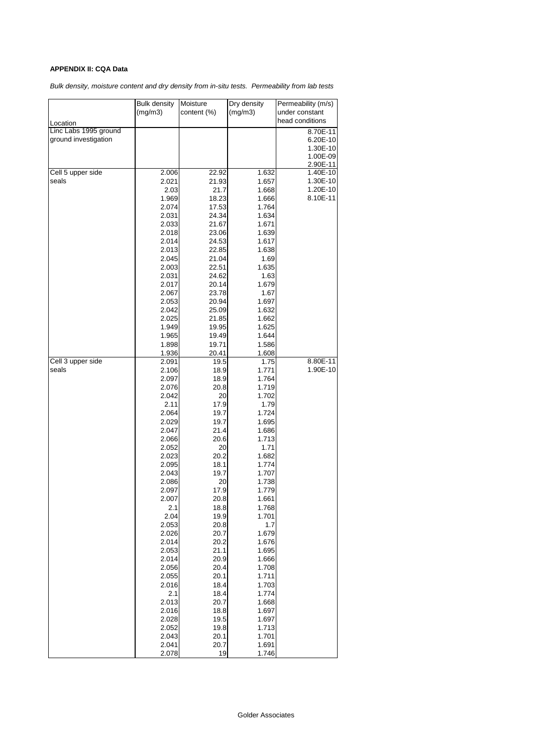## **APPENDIX II: CQA Data**

*Bulk density, moisture content and dry density from in-situ tests. Permeability from lab tests*

|                       | <b>Bulk density</b> | Moisture    | Dry density    | Permeability (m/s) |  |
|-----------------------|---------------------|-------------|----------------|--------------------|--|
|                       | (mg/m3)             | content (%) | (mg/m3)        | under constant     |  |
| Location              |                     |             |                | head conditions    |  |
| Linc Labs 1995 ground |                     |             |                | 8.70E-11           |  |
| ground investigation  |                     |             |                | 6.20E-10           |  |
|                       |                     |             |                | 1.30E-10           |  |
|                       |                     |             |                | 1.00E-09           |  |
|                       |                     |             |                | 2.90E-11           |  |
| Cell 5 upper side     | 2.006               | 22.92       | 1.632          | 1.40E-10           |  |
| seals                 | 2.021               | 21.93       | 1.657          | 1.30E-10           |  |
|                       | 2.03                | 21.7        | 1.668          | 1.20E-10           |  |
|                       | 1.969               | 18.23       | 1.666          | 8.10E-11           |  |
|                       | 2.074               | 17.53       | 1.764          |                    |  |
|                       | 2.031               | 24.34       | 1.634          |                    |  |
|                       | 2.033               | 21.67       | 1.671          |                    |  |
|                       | 2.018               | 23.06       | 1.639          |                    |  |
|                       | 2.014               | 24.53       | 1.617          |                    |  |
|                       | 2.013               | 22.85       | 1.638          |                    |  |
|                       | 2.045               | 21.04       | 1.69           |                    |  |
|                       | 2.003               | 22.51       | 1.635          |                    |  |
|                       | 2.031               | 24.62       | 1.63           |                    |  |
|                       | 2.017               | 20.14       | 1.679          |                    |  |
|                       | 2.067               | 23.78       | 1.67           |                    |  |
|                       | 2.053               | 20.94       | 1.697          |                    |  |
|                       | 2.042               | 25.09       | 1.632          |                    |  |
|                       | 2.025               | 21.85       | 1.662          |                    |  |
|                       | 1.949               | 19.95       | 1.625          |                    |  |
|                       | 1.965               | 19.49       | 1.644          |                    |  |
|                       | 1.898               | 19.71       | 1.586          |                    |  |
|                       | 1.936               | 20.41       | 1.608          |                    |  |
| Cell 3 upper side     | 2.091               | 19.5        | 1.75           | 8.80E-11           |  |
| seals                 | 2.106               | 18.9        | 1.771          | 1.90E-10           |  |
|                       | 2.097               | 18.9        | 1.764          |                    |  |
|                       | 2.076               | 20.8        | 1.719          |                    |  |
|                       | 2.042               | 20          | 1.702          |                    |  |
|                       | 2.11                | 17.9        | 1.79           |                    |  |
|                       | 2.064               | 19.7        | 1.724          |                    |  |
|                       | 2.029               | 19.7        | 1.695          |                    |  |
|                       | 2.047<br>2.066      | 21.4        | 1.686          |                    |  |
|                       |                     | 20.6<br>20  | 1.713          |                    |  |
|                       | 2.052<br>2.023      | 20.2        | 1.71           |                    |  |
|                       | 2.095               | 18.1        | 1.682<br>1.774 |                    |  |
|                       | 2.043               | 19.7        | 1.707          |                    |  |
|                       | 2.086               | 20          | 1.738          |                    |  |
|                       | 2.097               | 17.9        | 1.779          |                    |  |
|                       | 2.007               | 20.8        | 1.661          |                    |  |
|                       | 2.1                 | 18.8        | 1.768          |                    |  |
|                       | 2.04                | 19.9        | 1.701          |                    |  |
|                       | 2.053               | 20.8        | 1.7            |                    |  |
|                       | 2.026               | 20.7        | 1.679          |                    |  |
|                       | 2.014               | 20.2        | 1.676          |                    |  |
|                       | 2.053               | 21.1        | 1.695          |                    |  |
|                       | 2.014               | 20.9        | 1.666          |                    |  |
|                       | 2.056               | 20.4        | 1.708          |                    |  |
|                       | 2.055               | 20.1        | 1.711          |                    |  |
|                       | 2.016               | 18.4        | 1.703          |                    |  |
|                       | 2.1                 | 18.4        | 1.774          |                    |  |
|                       | 2.013               | 20.7        | 1.668          |                    |  |
|                       | 2.016               | 18.8        | 1.697          |                    |  |
|                       | 2.028               | 19.5        | 1.697          |                    |  |
|                       | 2.052               | 19.8        | 1.713          |                    |  |
|                       | 2.043               | 20.1        | 1.701          |                    |  |
|                       | 2.041               | 20.7        | 1.691          |                    |  |
|                       | 2.078               | 19          | 1.746          |                    |  |
|                       |                     |             |                |                    |  |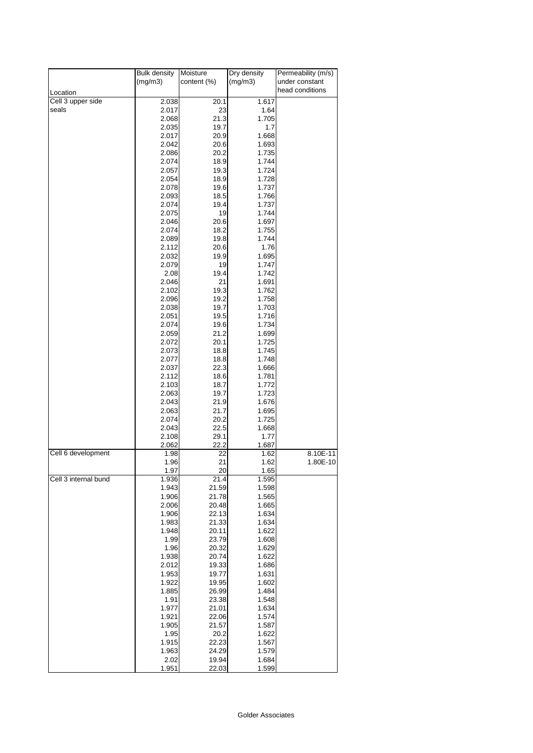|                            | <b>Bulk density</b> | Dry density<br>Moisture |                | Permeability (m/s)                |  |
|----------------------------|---------------------|-------------------------|----------------|-----------------------------------|--|
|                            | (mg/m3)             | (mg/m3)<br>content (%)  |                | under constant<br>head conditions |  |
| Location                   |                     |                         |                |                                   |  |
| Cell 3 upper side<br>seals | 2.038<br>2.017      | 20.1<br>23              | 1.617<br>1.64  |                                   |  |
|                            | 2.068               | 21.3                    | 1.705          |                                   |  |
|                            | 2.035               | 19.7                    | 1.7            |                                   |  |
|                            | 2.017               | 20.9                    | 1.668          |                                   |  |
|                            | 2.042               | 20.6                    | 1.693          |                                   |  |
|                            | 2.086               | 20.2                    | 1.735          |                                   |  |
|                            | 2.074               | 18.9                    | 1.744          |                                   |  |
|                            | 2.057               | 19.3                    | 1.724          |                                   |  |
|                            | 2.054<br>2.078      | 18.9<br>19.6            | 1.728<br>1.737 |                                   |  |
|                            | 2.093               | 18.5                    | 1.766          |                                   |  |
|                            | 2.074               | 19.4                    | 1.737          |                                   |  |
|                            | 2.075               | 19                      | 1.744          |                                   |  |
|                            | 2.046               | 20.6                    | 1.697          |                                   |  |
|                            | 2.074               | 18.2                    | 1.755          |                                   |  |
|                            | 2.089               | 19.8                    | 1.744          |                                   |  |
|                            | 2.112               | 20.6                    | 1.76           |                                   |  |
|                            | 2.032               | 19.9                    | 1.695          |                                   |  |
|                            | 2.079<br>2.08       | 19<br>19.4              | 1.747<br>1.742 |                                   |  |
|                            | 2.046               | 21                      | 1.691          |                                   |  |
|                            | 2.102               | 19.3                    | 1.762          |                                   |  |
|                            | 2.096               | 19.2                    | 1.758          |                                   |  |
|                            | 2.038               | 19.7                    | 1.703          |                                   |  |
|                            | 2.051               | 19.5                    | 1.716          |                                   |  |
|                            | 2.074               | 19.6                    | 1.734          |                                   |  |
|                            | 2.059               | 21.2                    | 1.699          |                                   |  |
|                            | 2.072<br>2.073      | 20.1<br>18.8            | 1.725<br>1.745 |                                   |  |
|                            | 2.077               | 18.8                    | 1.748          |                                   |  |
|                            | 2.037               | 22.3                    | 1.666          |                                   |  |
|                            | 2.112               | 18.6                    | 1.781          |                                   |  |
|                            | 2.103               | 18.7                    | 1.772          |                                   |  |
|                            | 2.063               | 19.7                    | 1.723          |                                   |  |
|                            | 2.043               | 21.9                    | 1.676          |                                   |  |
|                            | 2.063               | 21.7                    | 1.695          |                                   |  |
|                            | 2.074<br>2.043      | 20.2<br>22.5            | 1.725<br>1.668 |                                   |  |
|                            | 2.108               | 29.1                    | 1.77           |                                   |  |
|                            | 2.062               | 22.2                    | 1.687          |                                   |  |
| Cell 6 development         | 1.98                | 22                      | 1.62           | 8.10E-11                          |  |
|                            | 1.96                | 21                      | 1.62           | 1.80E-10                          |  |
|                            | 1.97                | 20                      | 1.65           |                                   |  |
| Cell 3 internal bund       | 1.936<br>1.943      | 21.4                    | 1.595          |                                   |  |
|                            | 1.906               | 21.59<br>21.78          | 1.598<br>1.565 |                                   |  |
|                            | 2.006               | 20.48                   | 1.665          |                                   |  |
|                            | 1.906               | 22.13                   | 1.634          |                                   |  |
|                            | 1.983               | 21.33                   | 1.634          |                                   |  |
|                            | 1.948               | 20.11                   | 1.622          |                                   |  |
|                            | 1.99                | 23.79                   | 1.608          |                                   |  |
|                            | 1.96                | 20.32                   | 1.629          |                                   |  |
|                            | 1.938<br>2.012      | 20.74<br>19.33          | 1.622<br>1.686 |                                   |  |
|                            | 1.953               | 19.77                   | 1.631          |                                   |  |
|                            | 1.922               | 19.95                   | 1.602          |                                   |  |
|                            | 1.885               | 26.99                   | 1.484          |                                   |  |
|                            | 1.91                | 23.38                   | 1.548          |                                   |  |
|                            | 1.977               | 21.01                   | 1.634          |                                   |  |
|                            | 1.921               | 22.06                   | 1.574          |                                   |  |
|                            | 1.905               | 21.57                   | 1.587          |                                   |  |
|                            | 1.95<br>1.915       | 20.2<br>22.23           | 1.622<br>1.567 |                                   |  |
|                            | 1.963               | 24.29                   | 1.579          |                                   |  |
|                            | 2.02                | 19.94                   | 1.684          |                                   |  |
|                            | 1.951               | 22.03                   | 1.599          |                                   |  |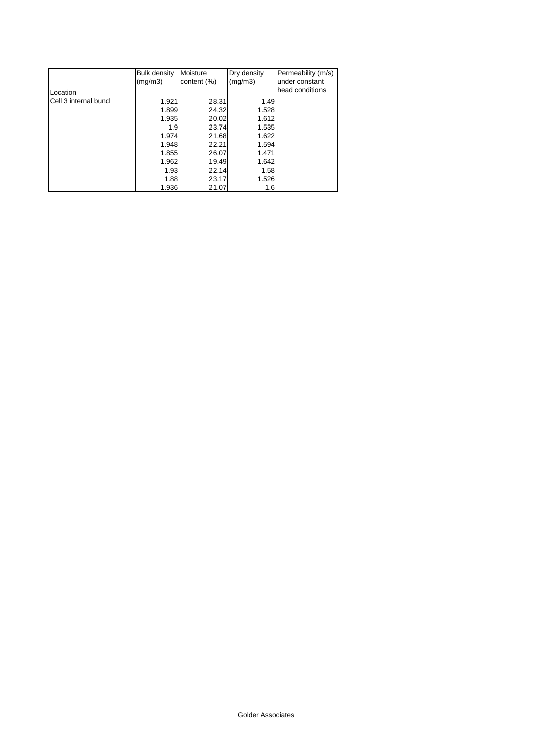|                      | <b>Bulk density</b> | Moisture    | Dry density | Permeability (m/s) |
|----------------------|---------------------|-------------|-------------|--------------------|
|                      | (mg/m3)             | content (%) | (mg/m3)     | under constant     |
| Location             |                     |             |             | head conditions    |
| Cell 3 internal bund | 1.921               | 28.31       | 1.49        |                    |
|                      | 1.899               | 24.32       | 1.528       |                    |
|                      | 1.935               | 20.02       | 1.612       |                    |
|                      | 1.9                 | 23.74       | 1.535       |                    |
|                      | 1.974               | 21.68       | 1.622       |                    |
|                      | 1.948               | 22.21       | 1.594       |                    |
|                      | 1.855               | 26.07       | 1.471       |                    |
|                      | 1.962               | 19.49       | 1.642       |                    |
|                      | 1.93                | 22.14       | 1.58        |                    |
|                      | 1.88                | 23.17       | 1.526       |                    |
|                      | 1.936               | 21.07       | 1.6         |                    |